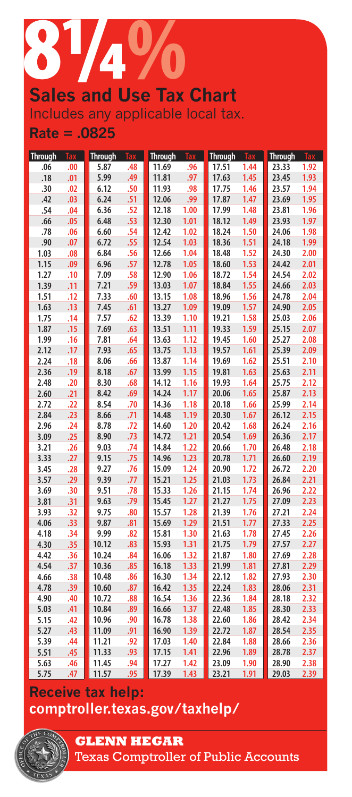

## Includes any applicable local tax. **Rate = .0825**

| <b>Through</b> | Tax        | <b>Through</b> | <b>Tax</b> | <b>Through</b> | Tax          | <b>Through</b> | Tax          | <b>Through</b> | Tax          |
|----------------|------------|----------------|------------|----------------|--------------|----------------|--------------|----------------|--------------|
| .06            | .00        | 5.87           | .48        | 11.69          | .96          | 17.51          | 1.44         | 23.33          | 1.92         |
| .18            | .01        | 5.99           | .49        | 11.81          | .97          | 17.63          | 1.45         | 23.45          | 1.93         |
| .30            | .02        | 6.12           | .50        | 11.93          | .98          | 17.75          | 1.46         | 23.57          | 1.94         |
| .42            | .03        | 6.24           | .51        | 12.06          | .99          | 17.87          | 1.47         | 23.69          | 1.95         |
| .54            | .04        | 6.36           | .52        | 12.18          | 1.00         | 17.99          | 1.48         | 23.81          | 1.96         |
| .66            | .05        | 6.48           | .53        | 12.30          | 1.01         | 18.12          | 1.49         | 23.93          | 1.97         |
| .78            | .06        | 6.60           | .54        | 12.42          | 1.02         | 18.24          | 1.50         | 24.06          | 1.98         |
| .90            | .07        | 6.72           | .55        | 12.54          | 1.03         | 18.36          | 1.51         | 24.18          | 1.99         |
| 1.03           | .08        | 6.84           | .56        | 12.66          | 1.04         | 18.48          | 1.52         | 24.30          | 2.00         |
| 1.15           | .09        | 6.96           | .57        | 12.78          | 1.05         | 18.60          | 1.53         | 24.42          | 2.01         |
| 1.27           | .10        | 7.09           | .58        | 12.90          | 1.06         | 18.72          | 1.54         | 24.54          | 2.02         |
| 1.39           | .11        | 7.21           | .59        | 13.03          | 1.07         | 18.84          | 1.55         | 24.66          | 2.03         |
| 1.51           | .12        | 7.33           | .60        | 13.15          | 1.08         | 18.96          | 1.56         | 24.78          | 2.04         |
| 1.63           | .13        | 7.45           | .61        | 13.27          | 1.09         | 19.09          | 1.57         | 24.90          | 2.05         |
| 1.75           | .14        | 7.57           | .62        | 13.39          | 1.10         | 19.21          | 1.58         | 25.03          | 2.06         |
| 1.87           | .15        | 7.69           | .63        | 13.51          | 1.11         | 19.33          | 1.59         | 25.15          | 2.07         |
| 1.99           | .16        | 7.81           | .64        | 13.63          | 1.12         | 19.45          | 1.60         | 25.27          | 2.08         |
| 2.12           | .17        | 7.93           | .65        | 13.75          | 1.13         | 19.57          | 1.61         | 25.39          | 2.09         |
| 2.24           | .18        | 8.06           | .66        | 13.87          | 1.14         | 19.69          | 1.62         | 25.51          | 2.10         |
| 2.36           | .19        | 8.18           | .67        | 13.99          | 1.15         | 19.81          | 1.63         | 25.63          | 2.11         |
| 2.48           | .20        | 8.30           | .68        | 14.12          | 1.16         | 19.93          | 1.64         | 25.75          | 2.12         |
| 2.60           | .21        | 8.42           | .69        | 14.24          | 1.17         | 20.06          | 1.65         | 25.87          | 2.13         |
| 2.72           | .22        | 8.54           | .70        | 14.36          | 1.18         | 20.18          | 1.66         | 25.99          | 2.14         |
| 2.84           | .23        | 8.66           | .71        | 14.48          | 1.19         | 20.30          | 1.67         | 26.12          | 2.15         |
| 2.96           | .24        | 8.78           | .72        | 14.60          | 1.20         | 20.42          | 1.68         | 26.24          | 2.16         |
| 3.09           | .25        | 8.90           | .73        | 14.72          | 1.21         | 20.54          | 1.69         | 26.36          | 2.17         |
| 3.21           | .26        | 9.03           | .74        | 14.84          | 1.22         | 20.66          | 1.70         | 26.48          | 2.18         |
| 3.33           | .27        | 9.15           | .75        | 14.96          | 1.23         | 20.78          | 1.71         | 26.60          | 2.19         |
| 3.45           | .28        | 9.27           | .76        | 15.09          | 1.24         | 20.90          | 1.72         | 26.72          | 2.20         |
| 3.57           | .29        | 9.39           | .77        | 15.21          | 1.25         | 21.03          | 1.73         | 26.84          | 2.21         |
| 3.69           | .30        | 9.51           | .78        | 15.33          | 1.26         | 21.15          | 1.74         | 26.96          | 2.22         |
| 3.81           | .31        | 9.63           | .79        | 15.45          | 1.27         | 21.27          | 1.75         | 27.09          | 2.23         |
| 3.93           | .32        | 9.75           | .80        | 15.57          | 1.28         | 21.39          | 1.76         | 27.21          | 2.24         |
| 4.06           | .33        | 9.87           | .81        | 15.69          | 1.29         | 21.51          | 1.77         | 27.33          | 2.25         |
| 4.18           | .34        | 9.99           | .82        | 15.81          | 1.30         | 21.63          | 1.78         | 27.45          | 2.26         |
| 4.30<br>4.42   | .35<br>.36 | 10.12<br>10.24 | .83<br>.84 | 15.93<br>16.06 | 1.31<br>1.32 | 21.75<br>21.87 | 1.79<br>1.80 | 27.57<br>27.69 | 2.27<br>2.28 |
| 4.54           | .37        | 10.36          | .85        | 16.18          | 1.33         | 21.99          | 1.81         | 27.81          | 2.29         |
| 4.66           | .38        | 10.48          | .86        | 16.30          | 1.34         | 22.12          | 1.82         | 27.93          | 2.30         |
| 4.78           | .39        | 10.60          | .87        | 16.42          | 1.35         | 22.24          | 1.83         | 28.06          | 2.31         |
| 4.90           | .40        | 10.72          | .88        | 16.54          | 1.36         | 22.36          | 1.84         | 28.18          | 2.32         |
| 5.03           | .41        | 10.84          | .89        | 16.66          | 1.37         | 22.48          | 1.85         | 28.30          | 2.33         |
| 5.15           | .42        | 10.96          | .90        | 16.78          | 1.38         | 22.60          | 1.86         | 28.42          | 2.34         |
| 5.27           | .43        | 11.09          | .91        | 16.90          | 1.39         | 22.72          | 1.87         | 28.54          | 2.35         |
| 5.39           | .44        | 11.21          | .92        | 17.03          | 1.40         | 22.84          | 1.88         | 28.66          | 2.36         |
| 5.51           | .45        | 11.33          | .93        | 17.15          | 1.41         | 22.96          | 1.89         | 28.78          | 2.37         |
| 5.63           | .46        | 11.45          | .94        | 17.27          | 1.42         | 23.09          | 1.90         | 28.90          | 2.38         |
| 5.75           | .47        | 11.57          | .95        | 17.39          | 1.43         | 23.21          | 1.91         | 29.03          | 2.39         |

## **Receive tax help: comptroller.texas.gov/taxhelp/**



**GLENN HEGAR** 

Texas Comptroller of Public Accounts